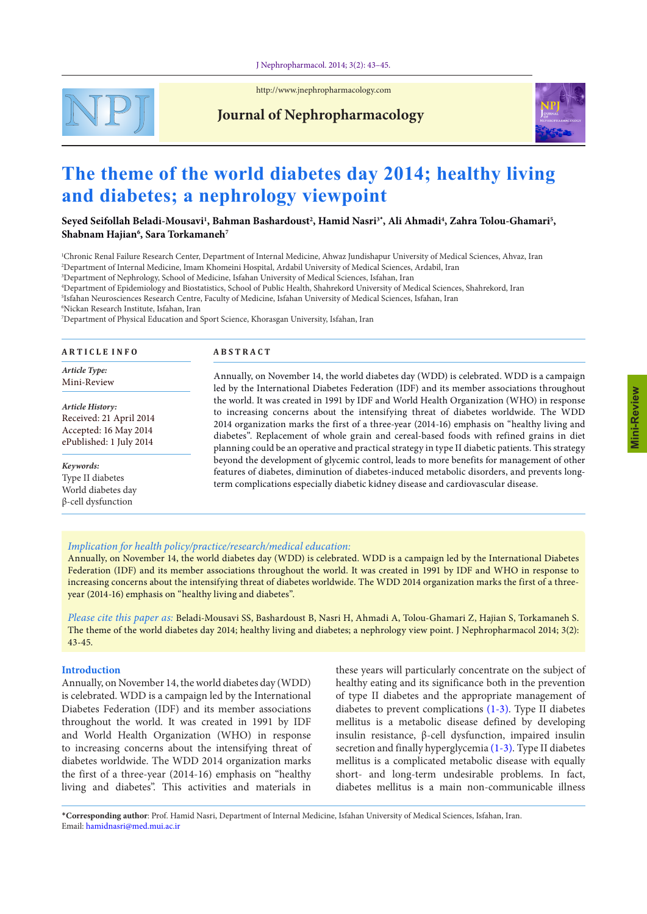#### J Nephropharmacol. 2014; 3(2): 43–45.



<http://www.jnephropharmacology.com>

## **Journal of Nephropharmacology**



# **The theme of the world diabetes day 2014; healthy living and diabetes; a nephrology viewpoint**

## $S$ eyed Seifollah Beladi-Mousavi<sup>1</sup>, Bahman Bashardoust<sup>2</sup>, Hamid Nasri<sup>3</sup>\*, Ali Ahmadi<sup>4</sup>, Zahra Tolou-Ghamari<sup>5</sup>, **Shabnam Hajian6 , Sara Torkamaneh7**

1 Chronic Renal Failure Research Center, Department of Internal Medicine, Ahwaz Jundishapur University of Medical Sciences, Ahvaz, Iran 2 Department of Internal Medicine, Imam Khomeini Hospital, Ardabil University of Medical Sciences, Ardabil, Iran 3 Department of Nephrology, School of Medicine, Isfahan University of Medical Sciences, Isfahan, Iran

4 Department of Epidemiology and Biostatistics, School of Public Health, Shahrekord University of Medical Sciences, Shahrekord, Iran

5 Isfahan Neurosciences Research Centre, Faculty of Medicine, Isfahan University of Medical Sciences, Isfahan, Iran

6 Nickan Research Institute, Isfahan, Iran

7 Department of Physical Education and Sport Science, Khorasgan University, Isfahan, Iran

| <b>ARTICLE INFO</b>                                                                             | <b>ABSTRACT</b>                                                                                                                                                                                                                                                                                                                                                                                                                                                                                                                                                                                                                                                                                                                                                                                                                                                                                                                                            |
|-------------------------------------------------------------------------------------------------|------------------------------------------------------------------------------------------------------------------------------------------------------------------------------------------------------------------------------------------------------------------------------------------------------------------------------------------------------------------------------------------------------------------------------------------------------------------------------------------------------------------------------------------------------------------------------------------------------------------------------------------------------------------------------------------------------------------------------------------------------------------------------------------------------------------------------------------------------------------------------------------------------------------------------------------------------------|
| Article Type:<br>Mini-Review                                                                    | Annually, on November 14, the world diabetes day (WDD) is celebrated. WDD is a campaign<br>led by the International Diabetes Federation (IDF) and its member associations throughout<br>the world. It was created in 1991 by IDF and World Health Organization (WHO) in response<br>to increasing concerns about the intensifying threat of diabetes worldwide. The WDD<br>2014 organization marks the first of a three-year (2014-16) emphasis on "healthy living and<br>diabetes". Replacement of whole grain and cereal-based foods with refined grains in diet<br>planning could be an operative and practical strategy in type II diabetic patients. This strategy<br>beyond the development of glycemic control, leads to more benefits for management of other<br>features of diabetes, diminution of diabetes-induced metabolic disorders, and prevents long-<br>term complications especially diabetic kidney disease and cardiovascular disease. |
| Article History:<br>Received: 21 April 2014<br>Accepted: 16 May 2014<br>ePublished: 1 July 2014 |                                                                                                                                                                                                                                                                                                                                                                                                                                                                                                                                                                                                                                                                                                                                                                                                                                                                                                                                                            |
| Keywords:<br>Type II diabetes<br>World diabetes day<br>β-cell dysfunction                       |                                                                                                                                                                                                                                                                                                                                                                                                                                                                                                                                                                                                                                                                                                                                                                                                                                                                                                                                                            |

## *Implication for health policy/practice/research/medical education:*

Annually, on November 14, the world diabetes day (WDD) is celebrated. WDD is a campaign led by the International Diabetes Federation (IDF) and its member associations throughout the world. It was created in 1991 by IDF and WHO in response to increasing concerns about the intensifying threat of diabetes worldwide. The WDD 2014 organization marks the first of a threeyear (2014-16) emphasis on "healthy living and diabetes".

*Please cite this paper as:* Beladi-Mousavi SS, Bashardoust B, Nasri H, Ahmadi A, Tolou-Ghamari Z, Hajian S, Torkamaneh S. The theme of the world diabetes day 2014; healthy living and diabetes; a nephrology view point. J Nephropharmacol 2014; 3(2): 43-45.

#### **Introduction**

Annually, on November 14, the world diabetes day (WDD) is celebrated. WDD is a campaign led by the International Diabetes Federation (IDF) and its member associations throughout the world. It was created in 1991 by IDF and World Health Organization (WHO) in response to increasing concerns about the intensifying threat of diabetes worldwide. The WDD 2014 organization marks the first of a three-year (2014-16) emphasis on "healthy living and diabetes". This activities and materials in

these years will particularly concentrate on the subject of healthy eating and its significance both in the prevention of type II diabetes and the appropriate management of diabetes to prevent complications [\(1](#page-2-0)-[3\)](#page-2-1). Type II diabetes mellitus is a metabolic disease defined by developing insulin resistance, β-cell dysfunction, impaired insulin secretion and finally hyperglycemia ([1](#page-2-0)[-3](#page-2-1)). Type II diabetes mellitus is a complicated metabolic disease with equally short- and long-term undesirable problems. In fact, diabetes mellitus is a main non-communicable illness

\***Corresponding author**: Prof. Hamid Nasri, Department of Internal Medicine, Isfahan University of Medical Sciences, Isfahan, Iran. Email: hamidnasri@med.mui.ac.ir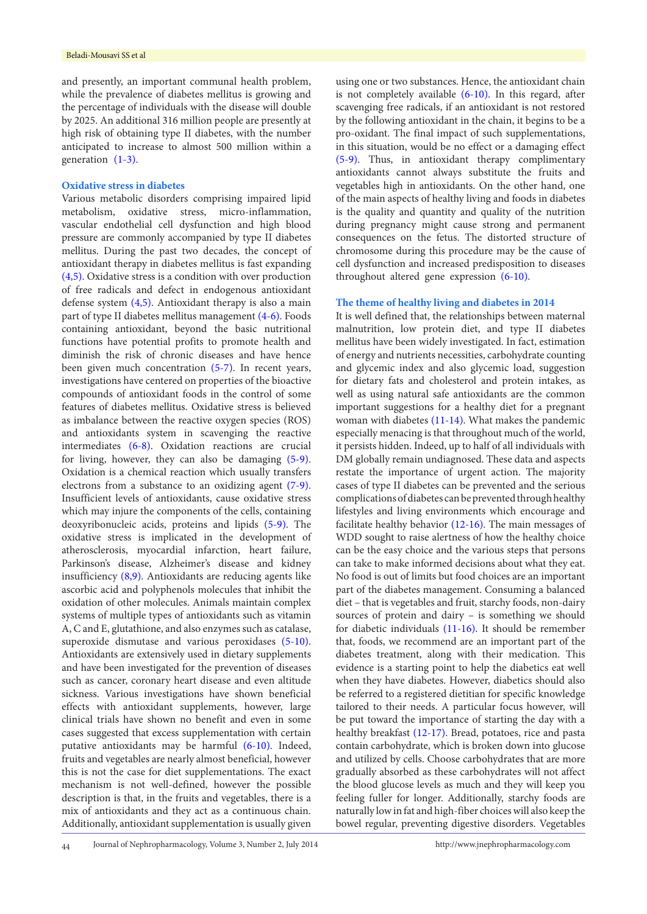and presently, an important communal health problem, while the prevalence of diabetes mellitus is growing and the percentage of individuals with the disease will double by 2025. An additional 316 million people are presently at high risk of obtaining type II diabetes, with the number anticipated to increase to almost 500 million within a generation  $(1-3)$  $(1-3)$  $(1-3)$  $(1-3)$ .

#### **Oxidative stress in diabetes**

Various metabolic disorders comprising impaired lipid metabolism, oxidative stress, micro-inflammation, vascular endothelial cell dysfunction and high blood pressure are commonly accompanied by type II diabetes mellitus. During the past two decades, the concept of antioxidant therapy in diabetes mellitus is fast expanding [\(4](#page-2-2)[,5](#page-2-3)). Oxidative stress is a condition with over production of free radicals and defect in endogenous antioxidant defense system ([4,](#page-2-2)[5\)](#page-2-3). Antioxidant therapy is also a main part of type II diabetes mellitus management ([4-](#page-2-2)[6\)](#page-2-4). Foods containing antioxidant, beyond the basic nutritional functions have potential profits to promote health and diminish the risk of chronic diseases and have hence been given much concentration ([5](#page-2-3)-[7\)](#page-2-5). In recent years, investigations have centered on properties of the bioactive compounds of antioxidant foods in the control of some features of diabetes mellitus. Oxidative stress is believed as imbalance between the reactive oxygen species (ROS) and antioxidants system in scavenging the reactive intermediates ([6](#page-2-4)[-8](#page-2-6)). Oxidation reactions are crucial for living, however, they can also be damaging [\(5](#page-2-3)-[9\)](#page-2-7). Oxidation is a chemical reaction which usually transfers electrons from a substance to an oxidizing agent [\(7](#page-2-5)-[9\)](#page-2-7). Insufficient levels of antioxidants, cause oxidative stress which may injure the components of the cells, containing deoxyribonucleic acids, proteins and lipids ([5](#page-2-3)-[9\)](#page-2-7). The oxidative stress is implicated in the development of atherosclerosis, myocardial infarction, heart failure, Parkinson's disease, Alzheimer's disease and kidney insufficiency ([8](#page-2-6),[9](#page-2-7)). Antioxidants are reducing agents like ascorbic acid and polyphenols molecules that inhibit the oxidation of other molecules. Animals maintain complex systems of multiple types of antioxidants such as vitamin A, C and E, glutathione, and also enzymes such as catalase, superoxide dismutase and various peroxidases ([5](#page-2-3)-[10\)](#page-2-8). Antioxidants are extensively used in dietary supplements and have been investigated for the prevention of diseases such as cancer, coronary heart disease and even altitude sickness. Various investigations have shown beneficial effects with antioxidant supplements, however, large clinical trials have shown no benefit and even in some cases suggested that excess supplementation with certain putative antioxidants may be harmful [\(6-](#page-2-4)[10](#page-2-8)). Indeed, fruits and vegetables are nearly almost beneficial, however this is not the case for diet supplementations. The exact mechanism is not well-defined, however the possible description is that, in the fruits and vegetables, there is a mix of antioxidants and they act as a continuous chain. Additionally, antioxidant supplementation is usually given

using one or two substances. Hence, the antioxidant chain is not completely available ([6](#page-2-4)[-10\)](#page-2-8). In this regard, after scavenging free radicals, if an antioxidant is not restored by the following antioxidant in the chain, it begins to be a pro-oxidant. The final impact of such supplementations, in this situation, would be no effect or a damaging effect [\(5](#page-2-3)-[9\)](#page-2-7). Thus, in antioxidant therapy complimentary antioxidants cannot always substitute the fruits and vegetables high in antioxidants. On the other hand, one of the main aspects of healthy living and foods in diabetes is the quality and quantity and quality of the nutrition during pregnancy might cause strong and permanent consequences on the fetus. The distorted structure of chromosome during this procedure may be the cause of cell dysfunction and increased predisposition to diseases throughout altered gene expression [\(6](#page-2-4)-[10](#page-2-8)).

## **The theme of healthy living and diabetes in 2014**

It is well defined that, the relationships between maternal malnutrition, low protein diet, and type II diabetes mellitus have been widely investigated. In fact, estimation of energy and nutrients necessities, carbohydrate counting and glycemic index and also glycemic load, suggestion for dietary fats and cholesterol and protein intakes, as well as using natural safe antioxidants are the common important suggestions for a healthy diet for a pregnant woman with diabetes [\(11](#page-2-9)[-14\)](#page-2-10). What makes the pandemic especially menacing is that throughout much of the world, it persists hidden. Indeed, up to half of all individuals with DM globally remain undiagnosed. These data and aspects restate the importance of urgent action. The majority cases of type II diabetes can be prevented and the serious complications of diabetes can be prevented through healthy lifestyles and living environments which encourage and facilitate healthy behavior ([12](#page-2-11)-[16](#page-2-12)). The main messages of WDD sought to raise alertness of how the healthy choice can be the easy choice and the various steps that persons can take to make informed decisions about what they eat. No food is out of limits but food choices are an important part of the diabetes management. Consuming a balanced diet – that is vegetables and fruit, starchy foods, non-dairy sources of protein and dairy – is something we should for diabetic individuals [\(11](#page-2-9)[-16](#page-2-12)). It should be remember that, foods, we recommend are an important part of the diabetes treatment, along with their medication. This evidence is a starting point to help the diabetics eat well when they have diabetes. However, diabetics should also be referred to a registered dietitian for specific knowledge tailored to their needs. A particular focus however, will be put toward the importance of starting the day with a healthy breakfast ([12](#page-2-11)-[17](#page-2-13)). Bread, potatoes, rice and pasta contain carbohydrate, which is broken down into glucose and utilized by cells. Choose carbohydrates that are more gradually absorbed as these carbohydrates will not affect the blood glucose levels as much and they will keep you feeling fuller for longer. Additionally, starchy foods are naturally low in fat and high-fiber choices will also keep the bowel regular, preventing digestive disorders. Vegetables